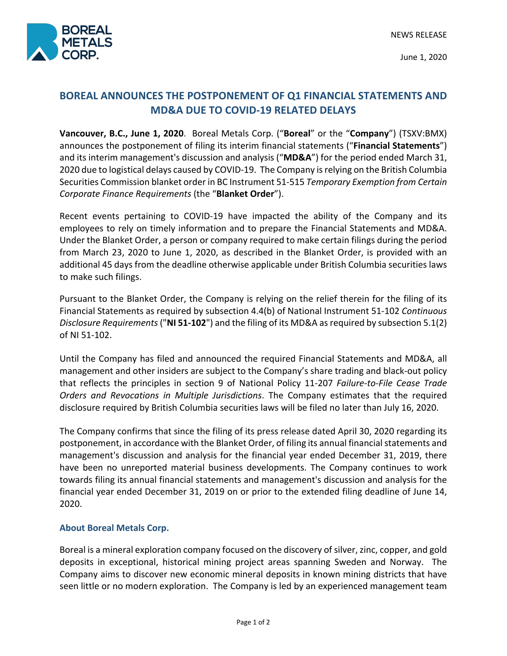

June 1, 2020

## **BOREAL ANNOUNCES THE POSTPONEMENT OF Q1 FINANCIAL STATEMENTS AND MD&A DUE TO COVID-19 RELATED DELAYS**

**Vancouver, B.C., June 1, 2020**. Boreal Metals Corp. ("**Boreal**" or the "**Company**") (TSXV:BMX) announces the postponement of filing its interim financial statements ("**Financial Statements**") and its interim management's discussion and analysis ("**MD&A**") for the period ended March 31, 2020 due to logistical delays caused by COVID-19. The Company is relying on the British Columbia Securities Commission blanket order in BC Instrument 51-515 *Temporary Exemption from Certain Corporate Finance Requirements* (the "**Blanket Order**").

Recent events pertaining to COVID-19 have impacted the ability of the Company and its employees to rely on timely information and to prepare the Financial Statements and MD&A. Under the Blanket Order, a person or company required to make certain filings during the period from March 23, 2020 to June 1, 2020, as described in the Blanket Order, is provided with an additional 45 days from the deadline otherwise applicable under British Columbia securities laws to make such filings.

Pursuant to the Blanket Order, the Company is relying on the relief therein for the filing of its Financial Statements as required by subsection 4.4(b) of National Instrument 51-102 *Continuous Disclosure Requirements* ("**NI 51-102**") and the filing of its MD&A as required by subsection 5.1(2) of NI 51-102.

Until the Company has filed and announced the required Financial Statements and MD&A, all management and other insiders are subject to the Company's share trading and black-out policy that reflects the principles in section 9 of National Policy 11-207 *Failure-to-File Cease Trade Orders and Revocations in Multiple Jurisdictions*. The Company estimates that the required disclosure required by British Columbia securities laws will be filed no later than July 16, 2020.

The Company confirms that since the filing of its press release dated April 30, 2020 regarding its postponement, in accordance with the Blanket Order, of filing its annual financial statements and management's discussion and analysis for the financial year ended December 31, 2019, there have been no unreported material business developments. The Company continues to work towards filing its annual financial statements and management's discussion and analysis for the financial year ended December 31, 2019 on or prior to the extended filing deadline of June 14, 2020.

## **About Boreal Metals Corp.**

Boreal is a mineral exploration company focused on the discovery of silver, zinc, copper, and gold deposits in exceptional, historical mining project areas spanning Sweden and Norway. The Company aims to discover new economic mineral deposits in known mining districts that have seen little or no modern exploration. The Company is led by an experienced management team